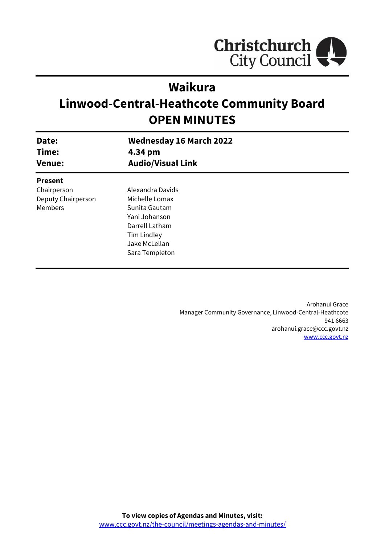

# **Waikura**

# **Linwood-Central-Heathcote Community Board OPEN MINUTES**

| Date:<br>Time:<br><b>Venue:</b> | <b>Wednesday 16 March 2022</b><br>4.34 pm |  |
|---------------------------------|-------------------------------------------|--|
|                                 | <b>Audio/Visual Link</b>                  |  |
| <b>Present</b>                  |                                           |  |
| Chairperson                     | Alexandra Davids                          |  |
| Deputy Chairperson              | Michelle Lomax                            |  |
| Members                         | Sunita Gautam                             |  |
|                                 | Yani Johanson                             |  |
|                                 | Darrell Latham                            |  |
|                                 | Tim Lindley                               |  |
|                                 | Jake McLellan                             |  |
|                                 | Sara Templeton                            |  |
|                                 |                                           |  |

Arohanui Grace Manager Community Governance, Linwood-Central-Heathcote 941 6663 arohanui.grace@ccc.govt.nz [www.ccc.govt.nz](http://www.ccc.govt.nz/)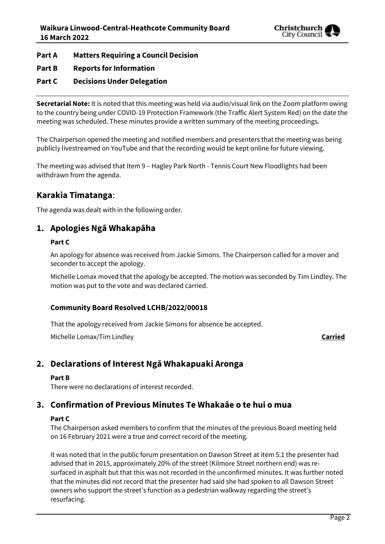

## **Part A Matters Requiring a Council Decision**

**Part B Reports for Information**

## **Part C Decisions Under Delegation**

**Secretarial Note:** It is noted that this meeting was held via audio/visual link on the Zoom platform owing to the country being under COVID-19 Protection Framework (the Traffic Alert System Red) on the date the meeting was scheduled. These minutes provide a written summary of the meeting proceedings.

The Chairperson opened the meeting and notified members and presenters that the meeting was being publicly livestreamed on YouTube and that the recording would be kept online for future viewing.

The meeting was advised that Item 9 – Hagley Park North - Tennis Court New Floodlights had been withdrawn from the agenda.

## **Karakia Tīmatanga**:

The agenda was dealt with in the following order.

## **1. Apologies Ngā Whakapāha**

## **Part C**

An apology for absence was received from Jackie Simons. The Chairperson called for a mover and seconder to accept the apology.

Michelle Lomax moved that the apology be accepted. The motion was seconded by Tim Lindley. The motion was put to the vote and was declared carried.

## **Community Board Resolved LCHB/2022/00018**

That the apology received from Jackie Simons for absence be accepted.

Michelle Lomax/Tim Lindley **Carried**

## **2. Declarations of Interest Ngā Whakapuaki Aronga**

### **Part B**

There were no declarations of interest recorded.

## **3. Confirmation of Previous Minutes Te Whakaāe o te hui o mua**

### **Part C**

The Chairperson asked members to confirm that the minutes of the previous Board meeting held on 16 February 2021 were a true and correct record of the meeting.

It was noted that in the public forum presentation on Dawson Street at item 5.1 the presenter had advised that in 2015, approximately 20% of the street (Kilmore Street northern end) was resurfaced in asphalt but that this was not recorded in the unconfirmed minutes. It was further noted that the minutes did not record that the presenter had said she had spoken to all Dawson Street owners who support the street's function as a pedestrian walkway regarding the street's resurfacing.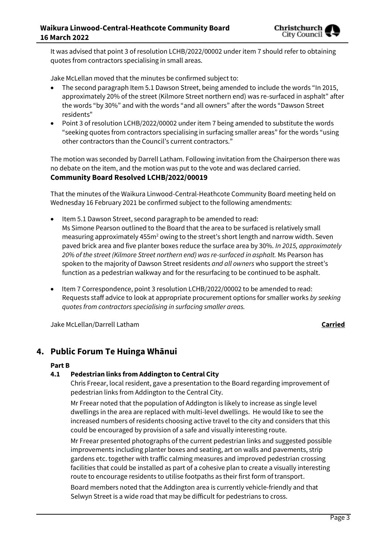

It was advised that point 3 of resolution LCHB/2022/00002 under item 7 should refer to obtaining quotes from contractors specialising in small areas.

Jake McLellan moved that the minutes be confirmed subject to:

- The second paragraph Item 5.1 Dawson Street, being amended to include the words "In 2015, approximately 20% of the street (Kilmore Street northern end) was re-surfaced in asphalt" after the words "by 30%" and with the words "and all owners" after the words "Dawson Street residents"
- Point 3 of resolution LCHB/2022/00002 under item 7 being amended to substitute the words "seeking quotes from contractors specialising in surfacing smaller areas" for the words "using other contractors than the Council's current contractors."

The motion was seconded by Darrell Latham. Following invitation from the Chairperson there was no debate on the item, and the motion was put to the vote and was declared carried. **Community Board Resolved LCHB/2022/00019**

That the minutes of the Waikura Linwood-Central-Heathcote Community Board meeting held on Wednesday 16 February 2021 be confirmed subject to the following amendments:

- Item 5.1 Dawson Street, second paragraph to be amended to read: Ms Simone Pearson outlined to the Board that the area to be surfaced is relatively small measuring approximately 455m<sup>2</sup> owing to the street's short length and narrow width. Seven paved brick area and five planter boxes reduce the surface area by 30%. *In 2015, approximately 20% of the street (Kilmore Street northern end) was re-surfaced in asphalt.* Ms Pearson has spoken to the majority of Dawson Street residents *and all owners* who support the street's function as a pedestrian walkway and for the resurfacing to be continued to be asphalt.
- Item 7 Correspondence, point 3 resolution LCHB/2022/00002 to be amended to read: Requests staff advice to look at appropriate procurement options for smaller works *by seeking quotes from contractors specialising in surfacing smaller areas.*

Jake McLellan/Darrell Latham **Carried**

## **4. Public Forum Te Huinga Whānui**

### **Part B**

## **4.1 Pedestrian links from Addington to Central City**

Chris Freear, local resident, gave a presentation to the Board regarding improvement of pedestrian links from Addington to the Central City.

Mr Freear noted that the population of Addington is likely to increase as single level dwellings in the area are replaced with multi-level dwellings. He would like to see the increased numbers of residents choosing active travel to the city and considers that this could be encouraged by provision of a safe and visually interesting route.

Mr Freear presented photographs of the current pedestrian links and suggested possible improvements including planter boxes and seating, art on walls and pavements, strip gardens etc. together with traffic calming measures and improved pedestrian crossing facilities that could be installed as part of a cohesive plan to create a visually interesting route to encourage residents to utilise footpaths as their first form of transport.

Board members noted that the Addington area is currently vehicle-friendly and that Selwyn Street is a wide road that may be difficult for pedestrians to cross.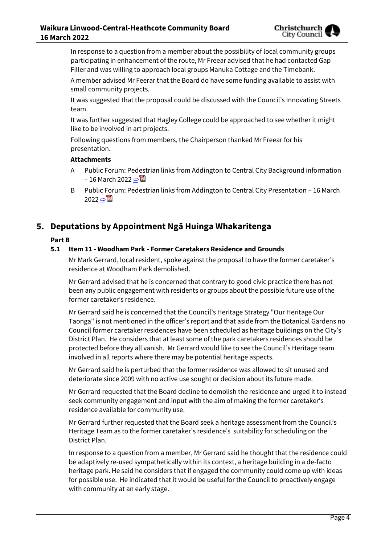In response to a question from a member about the possibility of local community groups participating in enhancement of the route, Mr Freear advised that he had contacted Gap Filler and was willing to approach local groups Manuka Cottage and the Timebank.

A member advised Mr Feerar that the Board do have some funding available to assist with small community projects.

It was suggested that the proposal could be discussed with the Council's Innovating Streets team.

It was further suggested that Hagley College could be approached to see whether it might like to be involved in art projects.

Following questions from members, the Chairperson thanked Mr Freear for his presentation.

## **Attachments**

- A Public Forum: Pedestrian links from Addington to Central City Background information – 16 March 2022  $\Rightarrow$  2
- B Public Forum: Pedestrian links from Addington to Central City Presentation 16 March 2022 ⇒ 4

## **5. Deputations by Appointment Ngā Huinga Whakaritenga**

## **Part B**

## **5.1 Item 11 - Woodham Park - Former Caretakers Residence and Grounds**

Mr Mark Gerrard, local resident, spoke against the proposal to have the former caretaker's residence at Woodham Park demolished.

Mr Gerrard advised that he is concerned that contrary to good civic practice there has not been any public engagement with residents or groups about the possible future use of the former caretaker's residence.

Mr Gerrard said he is concerned that the Council's Heritage Strategy "Our Heritage Our Taonga" is not mentioned in the officer's report and that aside from the Botanical Gardens no Council former caretaker residences have been scheduled as heritage buildings on the City's District Plan. He considers that at least some of the park caretakers residences should be protected before they all vanish. Mr Gerrard would like to see the Council's Heritage team involved in all reports where there may be potential heritage aspects.

Mr Gerrard said he is perturbed that the former residence was allowed to sit unused and deteriorate since 2009 with no active use sought or decision about its future made.

Mr Gerrard requested that the Board decline to demolish the residence and urged it to instead seek community engagement and input with the aim of making the former caretaker's residence available for community use.

Mr Gerrard further requested that the Board seek a heritage assessment from the Council's Heritage Team as to the former caretaker's residence's suitability for scheduling on the District Plan.

In response to a question from a member, Mr Gerrard said he thought that the residence could be adaptively re-used sympathetically within its context, a heritage building in a de-facto heritage park. He said he considers that if engaged the community could come up with ideas for possible use. He indicated that it would be useful for the Council to proactively engage with community at an early stage.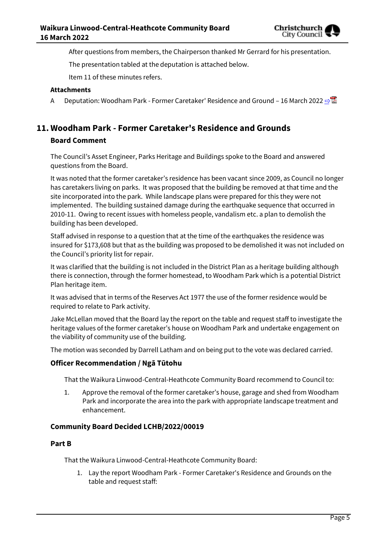

After questions from members, the Chairperson thanked Mr Gerrard for his presentation.

The presentation tabled at the deputation is attached below.

Item 11 of these minutes refers.

#### **Attachments**

A Deputation: Woodham Park - Former Caretaker' Residence and Ground – 16 March 2022 [⇨](../../../RedirectToInvalidFileName.aspx?FileName=LCHB_20220316_MAT_7602.PDF#PAGE=29)

# **11. Woodham Park - Former Caretaker's Residence and Grounds**

## **Board Comment**

The Council's Asset Engineer, Parks Heritage and Buildings spoke to the Board and answered questions from the Board.

It was noted that the former caretaker's residence has been vacant since 2009, as Council no longer has caretakers living on parks. It was proposed that the building be removed at that time and the site incorporated into the park. While landscape plans were prepared for this they were not implemented. The building sustained damage during the earthquake sequence that occurred in 2010-11. Owing to recent issues with homeless people, vandalism etc. a plan to demolish the building has been developed.

Staff advised in response to a question that at the time of the earthquakes the residence was insured for \$173,608 but that as the building was proposed to be demolished it was not included on the Council's priority list for repair.

It was clarified that the building is not included in the District Plan as a heritage building although there is connection, through the former homestead, to Woodham Park which is a potential District Plan heritage item.

It was advised that in terms of the Reserves Act 1977 the use of the former residence would be required to relate to Park activity.

Jake McLellan moved that the Board lay the report on the table and request staff to investigate the heritage values of the former caretaker's house on Woodham Park and undertake engagement on the viability of community use of the building.

The motion was seconded by Darrell Latham and on being put to the vote was declared carried.

### **Officer Recommendation / Ngā Tūtohu**

That the Waikura Linwood-Central-Heathcote Community Board recommend to Council to:

1. Approve the removal of the former caretaker's house, garage and shed from Woodham Park and incorporate the area into the park with appropriate landscape treatment and enhancement.

### **Community Board Decided LCHB/2022/00019**

### **Part B**

That the Waikura Linwood-Central-Heathcote Community Board:

1. Lay the report Woodham Park - Former Caretaker's Residence and Grounds on the table and request staff: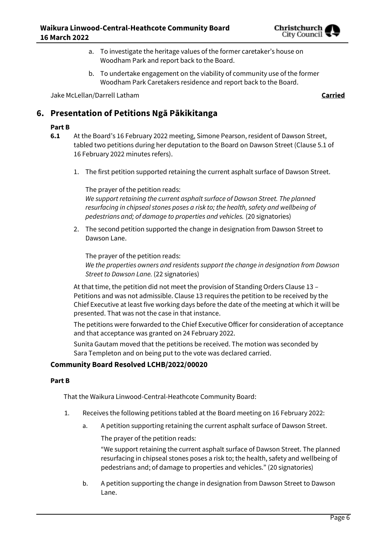

- a. To investigate the heritage values of the former caretaker's house on Woodham Park and report back to the Board.
- b. To undertake engagement on the viability of community use of the former Woodham Park Caretakers residence and report back to the Board.

Jake McLellan/Darrell Latham **Carried**

## **6. Presentation of Petitions Ngā Pākikitanga**

## **Part B**

- **6.1** At the Board's 16 February 2022 meeting, Simone Pearson, resident of Dawson Street, tabled two petitions during her deputation to the Board on Dawson Street (Clause 5.1 of 16 February 2022 minutes refers).
	- 1. The first petition supported retaining the current asphalt surface of Dawson Street.

The prayer of the petition reads: *We support retaining the current asphalt surface of Dawson Street. The planned resurfacing in chipseal stones poses a risk to; the health, safety and wellbeing of pedestrians and; of damage to properties and vehicles.* (20 signatories)

2. The second petition supported the change in designation from Dawson Street to Dawson Lane.

The prayer of the petition reads: *We the properties owners and residents support the change in designation from Dawson Street to Dawson Lane.* (22 signatories)

At that time, the petition did not meet the provision of Standing Orders Clause 13 – Petitions and was not admissible. Clause 13 requires the petition to be received by the Chief Executive at least five working days before the date of the meeting at which it will be presented. That was not the case in that instance.

The petitions were forwarded to the Chief Executive Officer for consideration of acceptance and that acceptance was granted on 24 February 2022.

Sunita Gautam moved that the petitions be received. The motion was seconded by Sara Templeton and on being put to the vote was declared carried.

## **Community Board Resolved LCHB/2022/00020**

#### **Part B**

That the Waikura Linwood-Central-Heathcote Community Board:

- 1. Receives the following petitions tabled at the Board meeting on 16 February 2022:
	- a. A petition supporting retaining the current asphalt surface of Dawson Street.

The prayer of the petition reads:

"We support retaining the current asphalt surface of Dawson Street. The planned resurfacing in chipseal stones poses a risk to; the health, safety and wellbeing of pedestrians and; of damage to properties and vehicles." (20 signatories)

b. A petition supporting the change in designation from Dawson Street to Dawson Lane.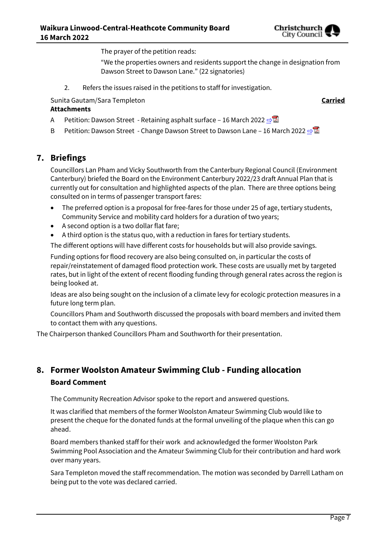

The prayer of the petition reads:

"We the properties owners and residents support the change in designation from Dawson Street to Dawson Lane." (22 signatories)

2. Refers the issues raised in the petitions to staff for investigation.

Sunita Gautam/Sara Templeton **Carried**

#### **Attachments**

- A Petition: Dawson Street Retaining asphalt surface 16 March 2022  $\Rightarrow$
- B Petition: Dawson Street Change Dawson Street to Dawson Lane 16 March 2022  $\Rightarrow$

## **7. Briefings**

Councillors Lan Pham and Vicky Southworth from the Canterbury Regional Council (Environment Canterbury) briefed the Board on the Environment Canterbury 2022/23 draft Annual Plan that is currently out for consultation and highlighted aspects of the plan. There are three options being consulted on in terms of passenger transport fares:

- The preferred option is a proposal for free-fares for those under 25 of age, tertiary students, Community Service and mobility card holders for a duration of two years;
- A second option is a two dollar flat fare;
- A third option is the status quo, with a reduction in fares for tertiary students.

The different options will have different costs for households but will also provide savings.

Funding options for flood recovery are also being consulted on, in particular the costs of repair/reinstatement of damaged flood protection work. These costs are usually met by targeted rates, but in light of the extent of recent flooding funding through general rates across the region is being looked at.

Ideas are also being sought on the inclusion of a climate levy for ecologic protection measures in a future long term plan.

Councillors Pham and Southworth discussed the proposals with board members and invited them to contact them with any questions.

The Chairperson thanked Councillors Pham and Southworth for their presentation.

## **8. Former Woolston Amateur Swimming Club - Funding allocation Board Comment**

The Community Recreation Advisor spoke to the report and answered questions.

It was clarified that members of the former Woolston Amateur Swimming Club would like to present the cheque for the donated funds at the formal unveiling of the plaque when this can go ahead.

Board members thanked staff for their work and acknowledged the former Woolston Park Swimming Pool Association and the Amateur Swimming Club for their contribution and hard work over many years.

Sara Templeton moved the staff recommendation. The motion was seconded by Darrell Latham on being put to the vote was declared carried.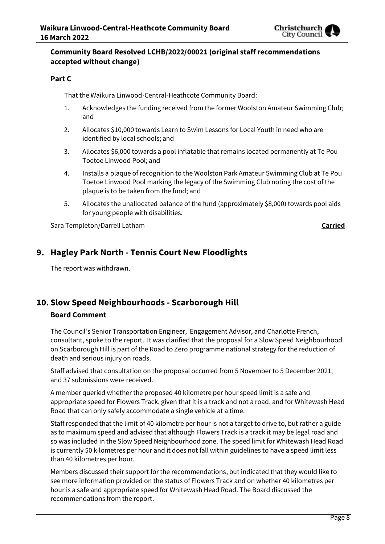

## **Community Board Resolved LCHB/2022/00021 (original staff recommendations accepted without change)**

## **Part C**

That the Waikura Linwood-Central-Heathcote Community Board:

- 1. Acknowledges the funding received from the former Woolston Amateur Swimming Club; and
- 2. Allocates \$10,000 towards Learn to Swim Lessons for Local Youth in need who are identified by local schools; and
- 3. Allocates \$6,000 towards a pool inflatable that remains located permanently at Te Pou Toetoe Linwood Pool; and
- 4. Installs a plaque of recognition to the Woolston Park Amateur Swimming Club at Te Pou Toetoe Linwood Pool marking the legacy of the Swimming Club noting the cost of the plaque is to be taken from the fund; and
- 5. Allocates the unallocated balance of the fund (approximately \$8,000) towards pool aids for young people with disabilities.

Sara Templeton/Darrell Latham **Carried**

## **9. Hagley Park North - Tennis Court New Floodlights**

The report was withdrawn.

## **10. Slow Speed Neighbourhoods - Scarborough Hill Board Comment**

The Council's Senior Transportation Engineer, Engagement Advisor, and Charlotte French, consultant, spoke to the report. It was clarified that the proposal for a Slow Speed Neighbourhood on Scarborough Hill is part of the Road to Zero programme national strategy for the reduction of death and serious injury on roads.

Staff advised that consultation on the proposal occurred from 5 November to 5 December 2021, and 37 submissions were received.

A member queried whether the proposed 40 kilometre per hour speed limit is a safe and appropriate speed for Flowers Track, given that it is a track and not a road, and for Whitewash Head Road that can only safely accommodate a single vehicle at a time.

Staff responded that the limit of 40 kilometre per hour is not a target to drive to, but rather a guide as to maximum speed and advised that although Flowers Track is a track it may be legal road and so was included in the Slow Speed Neighbourhood zone. The speed limit for Whitewash Head Road is currently 50 kilometres per hour and it does not fall within guidelines to have a speed limit less than 40 kilometres per hour.

Members discussed their support for the recommendations, but indicated that they would like to see more information provided on the status of Flowers Track and on whether 40 kilometres per hour is a safe and appropriate speed for Whitewash Head Road. The Board discussed the recommendations from the report.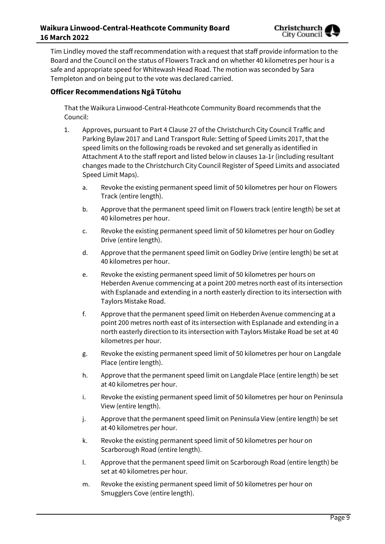Tim Lindley moved the staff recommendation with a request that staff provide information to the Board and the Council on the status of Flowers Track and on whether 40 kilometres per hour is a safe and appropriate speed for Whitewash Head Road. The motion was seconded by Sara Templeton and on being put to the vote was declared carried.

## **Officer Recommendations Ngā Tūtohu**

That the Waikura Linwood-Central-Heathcote Community Board recommends that the Council:

- 1. Approves, pursuant to Part 4 Clause 27 of the Christchurch City Council Traffic and Parking Bylaw 2017 and Land Transport Rule: Setting of Speed Limits 2017, that the speed limits on the following roads be revoked and set generally as identified in Attachment A to the staff report and listed below in clauses 1a-1r (including resultant changes made to the Christchurch City Council Register of Speed Limits and associated Speed Limit Maps).
	- a. Revoke the existing permanent speed limit of 50 kilometres per hour on Flowers Track (entire length).
	- b. Approve that the permanent speed limit on Flowers track (entire length) be set at 40 kilometres per hour.
	- c. Revoke the existing permanent speed limit of 50 kilometres per hour on Godley Drive (entire length).
	- d. Approve that the permanent speed limit on Godley Drive (entire length) be set at 40 kilometres per hour.
	- e. Revoke the existing permanent speed limit of 50 kilometres per hours on Heberden Avenue commencing at a point 200 metres north east of its intersection with Esplanade and extending in a north easterly direction to its intersection with Taylors Mistake Road.
	- f. Approve that the permanent speed limit on Heberden Avenue commencing at a point 200 metres north east of its intersection with Esplanade and extending in a north easterly direction to its intersection with Taylors Mistake Road be set at 40 kilometres per hour.
	- g. Revoke the existing permanent speed limit of 50 kilometres per hour on Langdale Place (entire length).
	- h. Approve that the permanent speed limit on Langdale Place (entire length) be set at 40 kilometres per hour.
	- i. Revoke the existing permanent speed limit of 50 kilometres per hour on Peninsula View (entire length).
	- j. Approve that the permanent speed limit on Peninsula View (entire length) be set at 40 kilometres per hour.
	- k. Revoke the existing permanent speed limit of 50 kilometres per hour on Scarborough Road (entire length).
	- l. Approve that the permanent speed limit on Scarborough Road (entire length) be set at 40 kilometres per hour.
	- m. Revoke the existing permanent speed limit of 50 kilometres per hour on Smugglers Cove (entire length).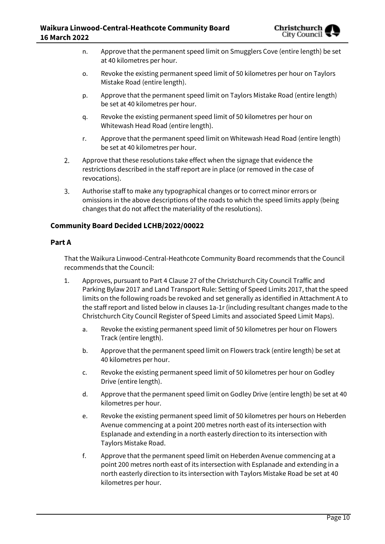

- n. Approve that the permanent speed limit on Smugglers Cove (entire length) be set at 40 kilometres per hour.
- o. Revoke the existing permanent speed limit of 50 kilometres per hour on Taylors Mistake Road (entire length).
- p. Approve that the permanent speed limit on Taylors Mistake Road (entire length) be set at 40 kilometres per hour.
- q. Revoke the existing permanent speed limit of 50 kilometres per hour on Whitewash Head Road (entire length).
- r. Approve that the permanent speed limit on Whitewash Head Road (entire length) be set at 40 kilometres per hour.
- $2.$ Approve that these resolutions take effect when the signage that evidence the restrictions described in the staff report are in place (or removed in the case of revocations).
- 3. Authorise staff to make any typographical changes or to correct minor errors or omissions in the above descriptions of the roads to which the speed limits apply (being changes that do not affect the materiality of the resolutions).

## **Community Board Decided LCHB/2022/00022**

### **Part A**

That the Waikura Linwood-Central-Heathcote Community Board recommends that the Council recommends that the Council:

- 1. Approves, pursuant to Part 4 Clause 27 of the Christchurch City Council Traffic and Parking Bylaw 2017 and Land Transport Rule: Setting of Speed Limits 2017, that the speed limits on the following roads be revoked and set generally as identified in Attachment A to the staff report and listed below in clauses 1a-1r (including resultant changes made to the Christchurch City Council Register of Speed Limits and associated Speed Limit Maps).
	- a. Revoke the existing permanent speed limit of 50 kilometres per hour on Flowers Track (entire length).
	- b. Approve that the permanent speed limit on Flowers track (entire length) be set at 40 kilometres per hour.
	- c. Revoke the existing permanent speed limit of 50 kilometres per hour on Godley Drive (entire length).
	- d. Approve that the permanent speed limit on Godley Drive (entire length) be set at 40 kilometres per hour.
	- e. Revoke the existing permanent speed limit of 50 kilometres per hours on Heberden Avenue commencing at a point 200 metres north east of its intersection with Esplanade and extending in a north easterly direction to its intersection with Taylors Mistake Road.
	- f. Approve that the permanent speed limit on Heberden Avenue commencing at a point 200 metres north east of its intersection with Esplanade and extending in a north easterly direction to its intersection with Taylors Mistake Road be set at 40 kilometres per hour.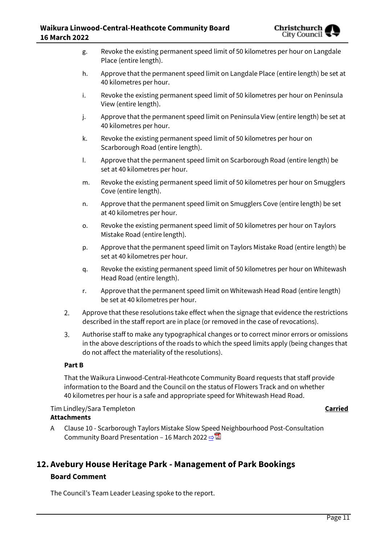

- g. Revoke the existing permanent speed limit of 50 kilometres per hour on Langdale Place (entire length).
- h. Approve that the permanent speed limit on Langdale Place (entire length) be set at 40 kilometres per hour.
- i. Revoke the existing permanent speed limit of 50 kilometres per hour on Peninsula View (entire length).
- j. Approve that the permanent speed limit on Peninsula View (entire length) be set at 40 kilometres per hour.
- k. Revoke the existing permanent speed limit of 50 kilometres per hour on Scarborough Road (entire length).
- l. Approve that the permanent speed limit on Scarborough Road (entire length) be set at 40 kilometres per hour.
- m. Revoke the existing permanent speed limit of 50 kilometres per hour on Smugglers Cove (entire length).
- n. Approve that the permanent speed limit on Smugglers Cove (entire length) be set at 40 kilometres per hour.
- o. Revoke the existing permanent speed limit of 50 kilometres per hour on Taylors Mistake Road (entire length).
- p. Approve that the permanent speed limit on Taylors Mistake Road (entire length) be set at 40 kilometres per hour.
- q. Revoke the existing permanent speed limit of 50 kilometres per hour on Whitewash Head Road (entire length).
- r. Approve that the permanent speed limit on Whitewash Head Road (entire length) be set at 40 kilometres per hour.
- $2.$ Approve that these resolutions take effect when the signage that evidence the restrictions described in the staff report are in place (or removed in the case of revocations).
- $\overline{3}$ . Authorise staff to make any typographical changes or to correct minor errors or omissions in the above descriptions of the roads to which the speed limits apply (being changes that do not affect the materiality of the resolutions).

## **Part B**

That the Waikura Linwood-Central-Heathcote Community Board requests that staff provide information to the Board and the Council on the status of Flowers Track and on whether 40 kilometres per hour is a safe and appropriate speed for Whitewash Head Road.

Tim Lindley/Sara Templeton **Carried Attachments**

A Clause 10 - Scarborough Taylors Mistake Slow Speed Neighbourhood Post-Consultation Community Board Presentation – 16 March 2022  $\rightarrow \mathbb{Z}$ 

## **12. Avebury House Heritage Park - Management of Park Bookings Board Comment**

The Council's Team Leader Leasing spoke to the report.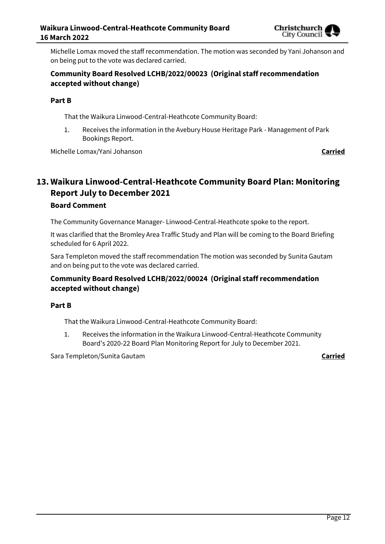

Michelle Lomax moved the staff recommendation. The motion was seconded by Yani Johanson and on being put to the vote was declared carried.

## **Community Board Resolved LCHB/2022/00023 (Original staff recommendation accepted without change)**

## **Part B**

That the Waikura Linwood-Central-Heathcote Community Board:

1. Receives the information in the Avebury House Heritage Park - Management of Park Bookings Report.

Michelle Lomax/Yani Johanson **Carried**

## **13. Waikura Linwood-Central-Heathcote Community Board Plan: Monitoring Report July to December 2021 Board Comment**

The Community Governance Manager- Linwood-Central-Heathcote spoke to the report.

It was clarified that the Bromley Area Traffic Study and Plan will be coming to the Board Briefing scheduled for 6 April 2022.

Sara Templeton moved the staff recommendation The motion was seconded by Sunita Gautam and on being put to the vote was declared carried.

## **Community Board Resolved LCHB/2022/00024 (Original staff recommendation accepted without change)**

### **Part B**

That the Waikura Linwood-Central-Heathcote Community Board:

1. Receives the information in the Waikura Linwood-Central-Heathcote Community Board's 2020-22 Board Plan Monitoring Report for July to December 2021.

Sara Templeton/Sunita Gautam **Carried**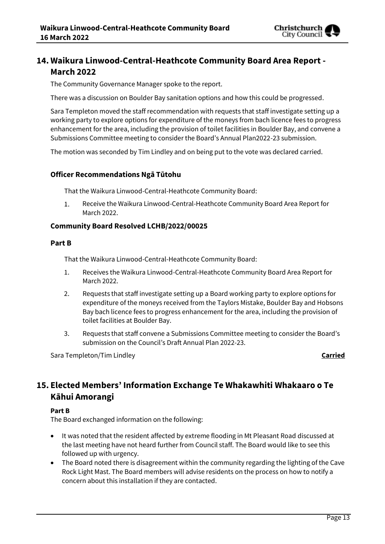

## **14. Waikura Linwood-Central-Heathcote Community Board Area Report - March 2022**

The Community Governance Manager spoke to the report.

There was a discussion on Boulder Bay sanitation options and how this could be progressed.

Sara Templeton moved the staff recommendation with requests that staff investigate setting up a working party to explore options for expenditure of the moneys from bach licence fees to progress enhancement for the area, including the provision of toilet facilities in Boulder Bay, and convene a Submissions Committee meeting to consider the Board's Annual Plan2022-23 submission.

The motion was seconded by Tim Lindley and on being put to the vote was declared carried.

## **Officer Recommendations Ngā Tūtohu**

That the Waikura Linwood-Central-Heathcote Community Board:

 $1.$ Receive the Waikura Linwood-Central-Heathcote Community Board Area Report for March 2022.

## **Community Board Resolved LCHB/2022/00025**

#### **Part B**

That the Waikura Linwood-Central-Heathcote Community Board:

- 1. Receives the Waikura Linwood-Central-Heathcote Community Board Area Report for March 2022.
- 2. Requests that staff investigate setting up a Board working party to explore options for expenditure of the moneys received from the Taylors Mistake, Boulder Bay and Hobsons Bay bach licence fees to progress enhancement for the area, including the provision of toilet facilities at Boulder Bay.
- 3. Requests that staff convene a Submissions Committee meeting to consider the Board's submission on the Council's Draft Annual Plan 2022-23.

Sara Templeton/Tim Lindley **Carried**

## **15. Elected Members' Information Exchange Te Whakawhiti Whakaaro o Te Kāhui Amorangi**

### **Part B**

The Board exchanged information on the following:

- It was noted that the resident affected by extreme flooding in Mt Pleasant Road discussed at the last meeting have not heard further from Council staff. The Board would like to see this followed up with urgency.
- The Board noted there is disagreement within the community regarding the lighting of the Cave Rock Light Mast. The Board members will advise residents on the process on how to notify a concern about this installation if they are contacted.